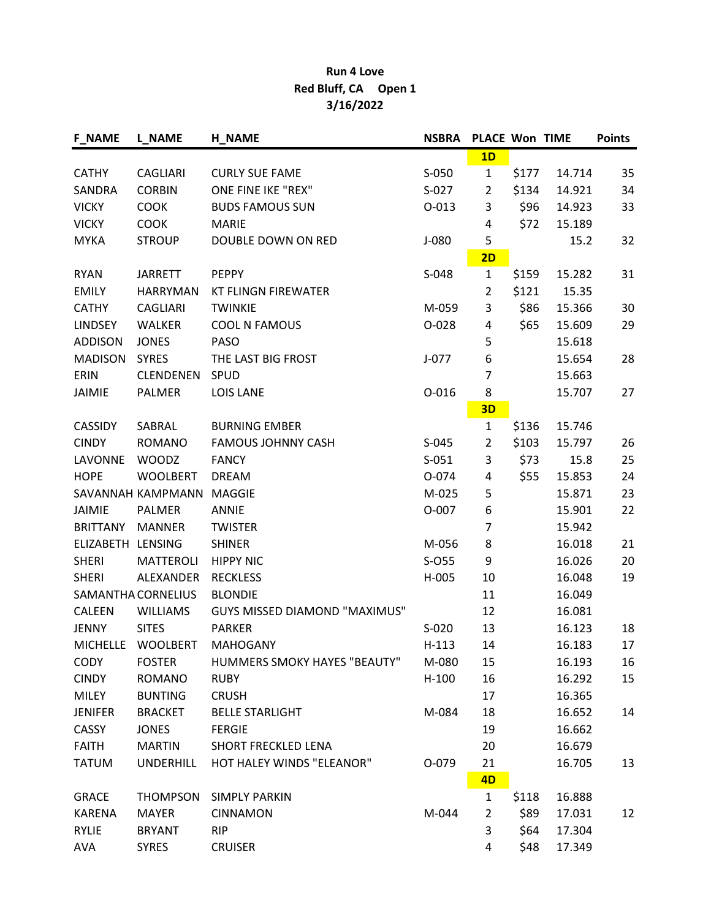## Run 4 Love Red Bluff, CA Open 1 3/16/2022

| <b>F_NAME</b>   | <b>L_NAME</b>             | <b>H_NAME</b>                        | <b>NSBRA</b> | <b>PLACE Won TIME</b> |       |        | <b>Points</b> |
|-----------------|---------------------------|--------------------------------------|--------------|-----------------------|-------|--------|---------------|
|                 |                           |                                      |              | 1D                    |       |        |               |
| <b>CATHY</b>    | <b>CAGLIARI</b>           | <b>CURLY SUE FAME</b>                | $S-050$      | $\mathbf{1}$          | \$177 | 14.714 | 35            |
| SANDRA          | <b>CORBIN</b>             | ONE FINE IKE "REX"                   | $S-027$      | $\overline{2}$        | \$134 | 14.921 | 34            |
| <b>VICKY</b>    | <b>COOK</b>               | <b>BUDS FAMOUS SUN</b>               | $O-013$      | 3                     | \$96  | 14.923 | 33            |
| <b>VICKY</b>    | <b>COOK</b>               | <b>MARIE</b>                         |              | 4                     | \$72  | 15.189 |               |
| <b>MYKA</b>     | <b>STROUP</b>             | DOUBLE DOWN ON RED                   | J-080        | 5                     |       | 15.2   | 32            |
|                 |                           |                                      |              | 2D                    |       |        |               |
| <b>RYAN</b>     | <b>JARRETT</b>            | <b>PEPPY</b>                         | $S-048$      | $\mathbf{1}$          | \$159 | 15.282 | 31            |
| <b>EMILY</b>    | <b>HARRYMAN</b>           | <b>KT FLINGN FIREWATER</b>           |              | $\overline{2}$        | \$121 | 15.35  |               |
| <b>CATHY</b>    | <b>CAGLIARI</b>           | <b>TWINKIE</b>                       | M-059        | 3                     | \$86  | 15.366 | 30            |
| <b>LINDSEY</b>  | WALKER                    | COOL N FAMOUS                        | O-028        | 4                     | \$65  | 15.609 | 29            |
| <b>ADDISON</b>  | <b>JONES</b>              | PASO                                 |              | 5                     |       | 15.618 |               |
| <b>MADISON</b>  | <b>SYRES</b>              | THE LAST BIG FROST                   | $J-077$      | 6                     |       | 15.654 | 28            |
| ERIN            | <b>CLENDENEN</b>          | <b>SPUD</b>                          |              | 7                     |       | 15.663 |               |
| <b>JAIMIE</b>   | PALMER                    | <b>LOIS LANE</b>                     | $O - 016$    | 8                     |       | 15.707 | 27            |
|                 |                           |                                      |              | 3D                    |       |        |               |
| <b>CASSIDY</b>  | SABRAL                    | <b>BURNING EMBER</b>                 |              | 1                     | \$136 | 15.746 |               |
| <b>CINDY</b>    | <b>ROMANO</b>             | <b>FAMOUS JOHNNY CASH</b>            | $S-045$      | $\overline{2}$        | \$103 | 15.797 | 26            |
| LAVONNE         | <b>WOODZ</b>              | <b>FANCY</b>                         | $S-051$      | 3                     | \$73  | 15.8   | 25            |
| <b>HOPE</b>     | <b>WOOLBERT</b>           | <b>DREAM</b>                         | O-074        | 4                     | \$55  | 15.853 | 24            |
|                 | SAVANNAH KAMPMANN         | <b>MAGGIE</b>                        | M-025        | 5                     |       | 15.871 | 23            |
| <b>JAIMIE</b>   | PALMER                    | <b>ANNIE</b>                         | O-007        | 6                     |       | 15.901 | 22            |
| <b>BRITTANY</b> | <b>MANNER</b>             | <b>TWISTER</b>                       |              | 7                     |       | 15.942 |               |
| ELIZABETH       | LENSING                   | <b>SHINER</b>                        | M-056        | 8                     |       | 16.018 | 21            |
| <b>SHERI</b>    | <b>MATTEROLI</b>          | <b>HIPPY NIC</b>                     | $S-O55$      | 9                     |       | 16.026 | 20            |
| <b>SHERI</b>    | ALEXANDER                 | <b>RECKLESS</b>                      | H-005        | 10                    |       | 16.048 | 19            |
|                 | <b>SAMANTHA CORNELIUS</b> | <b>BLONDIE</b>                       |              | 11                    |       | 16.049 |               |
| <b>CALEEN</b>   | <b>WILLIAMS</b>           | <b>GUYS MISSED DIAMOND "MAXIMUS"</b> |              | 12                    |       | 16.081 |               |
| <b>JENNY</b>    | <b>SITES</b>              | <b>PARKER</b>                        | $S-020$      | 13                    |       | 16.123 | 18            |
| <b>MICHELLE</b> | <b>WOOLBERT</b>           | <b>MAHOGANY</b>                      | $H-113$      | 14                    |       | 16.183 | 17            |
| <b>CODY</b>     | <b>FOSTER</b>             | <b>HUMMERS SMOKY HAYES "BEAUTY"</b>  | M-080        | 15                    |       | 16.193 | 16            |
| <b>CINDY</b>    | <b>ROMANO</b>             | <b>RUBY</b>                          | $H-100$      | 16                    |       | 16.292 | 15            |
| <b>MILEY</b>    | <b>BUNTING</b>            | <b>CRUSH</b>                         |              | 17                    |       | 16.365 |               |
| <b>JENIFER</b>  | <b>BRACKET</b>            | <b>BELLE STARLIGHT</b>               | M-084        | 18                    |       | 16.652 | 14            |
| CASSY           | <b>JONES</b>              | <b>FERGIE</b>                        |              | 19                    |       | 16.662 |               |
| <b>FAITH</b>    | <b>MARTIN</b>             | <b>SHORT FRECKLED LENA</b>           |              | 20                    |       | 16.679 |               |
| <b>TATUM</b>    | <b>UNDERHILL</b>          | HOT HALEY WINDS "ELEANOR"            | 0-079        | 21                    |       | 16.705 | 13            |
|                 |                           |                                      |              | 4D                    |       |        |               |
| <b>GRACE</b>    | <b>THOMPSON</b>           | <b>SIMPLY PARKIN</b>                 |              | 1                     | \$118 | 16.888 |               |
| <b>KARENA</b>   | <b>MAYER</b>              | <b>CINNAMON</b>                      | M-044        | $\overline{2}$        | \$89  | 17.031 | 12            |
| <b>RYLIE</b>    | <b>BRYANT</b>             | <b>RIP</b>                           |              | 3                     | \$64  | 17.304 |               |
| <b>AVA</b>      | <b>SYRES</b>              | <b>CRUISER</b>                       |              | 4                     | \$48  | 17.349 |               |